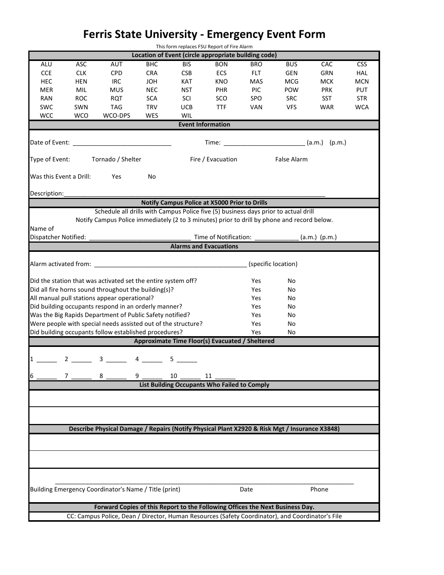## **Ferris State University - Emergency Event Form**

| This form replaces FSU Report of Fire Alarm                                                      |            |                                                                                                                                                                                                                                |            |            |                                                       |                     |             |                 |            |  |
|--------------------------------------------------------------------------------------------------|------------|--------------------------------------------------------------------------------------------------------------------------------------------------------------------------------------------------------------------------------|------------|------------|-------------------------------------------------------|---------------------|-------------|-----------------|------------|--|
|                                                                                                  |            |                                                                                                                                                                                                                                |            |            | Location of Event (circle appropriate building code)  |                     |             |                 |            |  |
| ALU                                                                                              | <b>ASC</b> | <b>AUT</b>                                                                                                                                                                                                                     | <b>BHC</b> | <b>BIS</b> | <b>BON</b>                                            | <b>BRO</b>          | <b>BUS</b>  | CAC             | <b>CSS</b> |  |
| <b>CCE</b>                                                                                       | <b>CLK</b> | <b>CPD</b>                                                                                                                                                                                                                     | <b>CRA</b> | <b>CSB</b> | <b>ECS</b>                                            | <b>FLT</b>          | <b>GEN</b>  | <b>GRN</b>      | <b>HAL</b> |  |
| <b>HEC</b>                                                                                       | <b>HEN</b> | <b>IRC</b>                                                                                                                                                                                                                     | <b>JOH</b> | <b>KAT</b> | <b>KNO</b>                                            | <b>MAS</b>          | <b>MCG</b>  | <b>MCK</b>      | <b>MCN</b> |  |
| <b>MER</b>                                                                                       | <b>MIL</b> | <b>MUS</b>                                                                                                                                                                                                                     | <b>NEC</b> | <b>NST</b> | <b>PHR</b>                                            | <b>PIC</b>          | <b>POW</b>  | <b>PRK</b>      | <b>PUT</b> |  |
| <b>RAN</b>                                                                                       | <b>ROC</b> | <b>RQT</b>                                                                                                                                                                                                                     | <b>SCA</b> | SCI        | SCO                                                   | SPO                 | <b>SRC</b>  | <b>SST</b>      | <b>STR</b> |  |
| <b>SWC</b>                                                                                       | SWN        | <b>TAG</b>                                                                                                                                                                                                                     | <b>TRV</b> | <b>UCB</b> | <b>TTF</b>                                            | <b>VAN</b>          | <b>VFS</b>  | <b>WAR</b>      | <b>WCA</b> |  |
| <b>WCC</b>                                                                                       | <b>WCO</b> | WCO-DPS                                                                                                                                                                                                                        | <b>WES</b> | WIL        |                                                       |                     |             |                 |            |  |
| <b>Event Information</b>                                                                         |            |                                                                                                                                                                                                                                |            |            |                                                       |                     |             |                 |            |  |
|                                                                                                  |            |                                                                                                                                                                                                                                |            |            |                                                       |                     |             |                 |            |  |
|                                                                                                  |            | Date of Event: The contract of the contract of the contract of the contract of the contract of the contract of                                                                                                                 |            |            | Time: ________________________________(a.m.) $(p.m.)$ |                     |             |                 |            |  |
|                                                                                                  |            |                                                                                                                                                                                                                                |            |            |                                                       |                     |             |                 |            |  |
| Type of Event:                                                                                   |            | Tornado / Shelter                                                                                                                                                                                                              |            |            | Fire / Evacuation                                     |                     | False Alarm |                 |            |  |
|                                                                                                  |            |                                                                                                                                                                                                                                |            |            |                                                       |                     |             |                 |            |  |
| Was this Event a Drill:                                                                          |            | Yes                                                                                                                                                                                                                            | No         |            |                                                       |                     |             |                 |            |  |
|                                                                                                  |            |                                                                                                                                                                                                                                |            |            |                                                       |                     |             |                 |            |  |
| Description:                                                                                     |            |                                                                                                                                                                                                                                |            |            |                                                       |                     |             |                 |            |  |
| <b>Notify Campus Police at X5000 Prior to Drills</b>                                             |            |                                                                                                                                                                                                                                |            |            |                                                       |                     |             |                 |            |  |
| Schedule all drills with Campus Police five (5) business days prior to actual drill              |            |                                                                                                                                                                                                                                |            |            |                                                       |                     |             |                 |            |  |
|                                                                                                  |            | Notify Campus Police immediately (2 to 3 minutes) prior to drill by phone and record below.                                                                                                                                    |            |            |                                                       |                     |             |                 |            |  |
| Name of                                                                                          |            |                                                                                                                                                                                                                                |            |            |                                                       |                     |             |                 |            |  |
| Dispatcher Notified:                                                                             |            |                                                                                                                                                                                                                                |            |            | Time of Notification:                                 |                     |             | $(a.m.)$ (p.m.) |            |  |
|                                                                                                  |            |                                                                                                                                                                                                                                |            |            | <b>Alarms and Evacuations</b>                         |                     |             |                 |            |  |
|                                                                                                  |            |                                                                                                                                                                                                                                |            |            |                                                       |                     |             |                 |            |  |
|                                                                                                  |            | Alarm activated from: example and all the state of the state of the state of the state of the state of the state of the state of the state of the state of the state of the state of the state of the state of the state of th |            |            |                                                       | (specific location) |             |                 |            |  |
|                                                                                                  |            |                                                                                                                                                                                                                                |            |            |                                                       |                     |             |                 |            |  |
|                                                                                                  |            | Did the station that was activated set the entire system off?                                                                                                                                                                  |            |            |                                                       | Yes                 | No          |                 |            |  |
|                                                                                                  |            | Did all fire horns sound throughout the building(s)?                                                                                                                                                                           |            |            | Yes                                                   | No                  |             |                 |            |  |
| All manual pull stations appear operational?<br>Yes<br>No                                        |            |                                                                                                                                                                                                                                |            |            |                                                       |                     |             |                 |            |  |
| Did building occupants respond in an orderly manner?<br>Yes<br>No                                |            |                                                                                                                                                                                                                                |            |            |                                                       |                     |             |                 |            |  |
| Was the Big Rapids Department of Public Safety notified?<br>Yes<br>No                            |            |                                                                                                                                                                                                                                |            |            |                                                       |                     |             |                 |            |  |
| Were people with special needs assisted out of the structure?<br>Yes<br>No                       |            |                                                                                                                                                                                                                                |            |            |                                                       |                     |             |                 |            |  |
| Did building occupants follow established procedures?<br>Yes<br>No                               |            |                                                                                                                                                                                                                                |            |            |                                                       |                     |             |                 |            |  |
|                                                                                                  |            |                                                                                                                                                                                                                                |            |            | Approximate Time Floor(s) Evacuated / Sheltered       |                     |             |                 |            |  |
|                                                                                                  |            |                                                                                                                                                                                                                                |            |            |                                                       |                     |             |                 |            |  |
| $\mathbf{1}$                                                                                     |            | $3 \hspace{1.5cm} 4 \hspace{1.5cm} 5$                                                                                                                                                                                          |            |            |                                                       |                     |             |                 |            |  |
|                                                                                                  |            |                                                                                                                                                                                                                                |            |            |                                                       |                     |             |                 |            |  |
| 6                                                                                                | 7          | 8                                                                                                                                                                                                                              | 9          | 10         | 11                                                    |                     |             |                 |            |  |
|                                                                                                  |            |                                                                                                                                                                                                                                |            |            | <b>List Building Occupants Who Failed to Comply</b>   |                     |             |                 |            |  |
|                                                                                                  |            |                                                                                                                                                                                                                                |            |            |                                                       |                     |             |                 |            |  |
|                                                                                                  |            |                                                                                                                                                                                                                                |            |            |                                                       |                     |             |                 |            |  |
|                                                                                                  |            |                                                                                                                                                                                                                                |            |            |                                                       |                     |             |                 |            |  |
|                                                                                                  |            |                                                                                                                                                                                                                                |            |            |                                                       |                     |             |                 |            |  |
|                                                                                                  |            | Describe Physical Damage / Repairs (Notify Physical Plant X2920 & Risk Mgt / Insurance X3848)                                                                                                                                  |            |            |                                                       |                     |             |                 |            |  |
|                                                                                                  |            |                                                                                                                                                                                                                                |            |            |                                                       |                     |             |                 |            |  |
|                                                                                                  |            |                                                                                                                                                                                                                                |            |            |                                                       |                     |             |                 |            |  |
|                                                                                                  |            |                                                                                                                                                                                                                                |            |            |                                                       |                     |             |                 |            |  |
|                                                                                                  |            |                                                                                                                                                                                                                                |            |            |                                                       |                     |             |                 |            |  |
|                                                                                                  |            |                                                                                                                                                                                                                                |            |            |                                                       |                     |             |                 |            |  |
|                                                                                                  |            |                                                                                                                                                                                                                                |            |            |                                                       |                     |             |                 |            |  |
|                                                                                                  |            | Building Emergency Coordinator's Name / Title (print)                                                                                                                                                                          |            |            |                                                       | Date                |             | Phone           |            |  |
|                                                                                                  |            |                                                                                                                                                                                                                                |            |            |                                                       |                     |             |                 |            |  |
|                                                                                                  |            | Forward Copies of this Report to the Following Offices the Next Business Day.                                                                                                                                                  |            |            |                                                       |                     |             |                 |            |  |
|                                                                                                  |            |                                                                                                                                                                                                                                |            |            |                                                       |                     |             |                 |            |  |
| CC: Campus Police, Dean / Director, Human Resources (Safety Coordinator), and Coordinator's File |            |                                                                                                                                                                                                                                |            |            |                                                       |                     |             |                 |            |  |